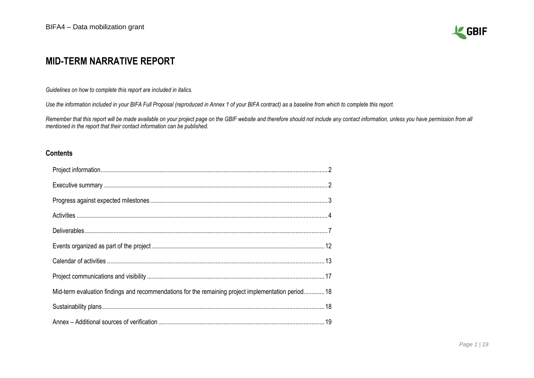

# **MID-TERM NARRATIVE REPORT**

*Guidelines on how to complete this report are included in italics.* 

*Use the information included in your BIFA Full Proposal (reproduced in Annex 1 of your BIFA contract) as a baseline from which to complete this report.*

*Remember that this report will be made available on your project page on the GBIF website and therefore should not include any contact information, unless you have permission from all mentioned in the report that their contact information can be published.*

#### **Contents**

| Mid-term evaluation findings and recommendations for the remaining project implementation period 18 |  |
|-----------------------------------------------------------------------------------------------------|--|
|                                                                                                     |  |
|                                                                                                     |  |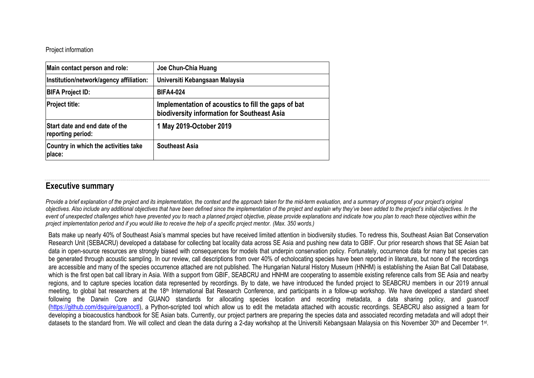<span id="page-1-0"></span>Project information

| Main contact person and role:                       | Joe Chun-Chia Huang                                                                                |
|-----------------------------------------------------|----------------------------------------------------------------------------------------------------|
| Institution/network/agency affiliation:             | Universiti Kebangsaan Malaysia                                                                     |
| <b>BIFA Project ID:</b>                             | <b>BIFA4-024</b>                                                                                   |
| <b>Project title:</b>                               | Implementation of acoustics to fill the gaps of bat<br>biodiversity information for Southeast Asia |
| Start date and end date of the<br>reporting period: | 1 May 2019-October 2019                                                                            |
| Country in which the activities take<br>place:      | <b>Southeast Asia</b>                                                                              |

### <span id="page-1-1"></span>**Executive summary**

*Provide a brief explanation of the project and its implementation, the context and the approach taken for the mid-term evaluation, and a summary of progress of your project's original objectives. Also include any additional objectives that have been defined since the implementation of the project and explain why they've been added to the project's initial objectives. In the*  event of unexpected challenges which have prevented you to reach a planned project objective, please provide explanations and indicate how you plan to reach these objectives within the *project implementation period and if you would like to receive the help of a specific project mentor. (Max. 350 words.)*

Bats make up nearly 40% of Southeast Asia's mammal species but have received limited attention in biodiversity studies. To redress this, Southeast Asian Bat Conservation Research Unit [\(SEBACRU\)](http://www.seabcru.org/) developed a database for collecting bat locality data across SE Asia and pushing new data to GBIF. Our prior research shows that SE Asian bat data in open-source resources are strongly biased with consequences for models that underpin conservation policy. Fortunately, occurrence data for many bat species can be generated through acoustic sampling. In our review, call descriptions from over 40% of echolocating species have been reported in literature, but none of the recordings are accessible and many of the species occurrence attached are not published. The Hungarian Natural History Museum (HNHM) is establishing the Asian Bat Call Database, which is the first open bat call library in Asia. With a support from GBIF, SEABCRU and HNHM are cooperating to assemble existing reference calls from SE Asia and nearby regions, and to capture species location data represented by recordings. By to date, we have introduced the funded project to SEABCRU members in our 2019 annual meeting, to global bat researchers at the 18<sup>th</sup> International Bat Research Conference, and participants in a follow-up workshop. We have developed a standard sheet following the Darwin Core and GUANO standards for allocating species location and recording metadata, a data sharing policy, and *guanoctl* [\(https://github.com/dsquire/guanoctl\)](https://github.com/dsquire/guanoctl), a Python-scripted tool which allow us to edit the metadata attached with acoustic recordings. SEABCRU also assigned a team for developing a bioacoustics handbook for SE Asian bats. Currently, our project partners are preparing the species data and associated recording metadata and will adopt their datasets to the standard from. We will collect and clean the data during a 2-day workshop at the Universiti Kebangsaan Malaysia on this November 30<sup>th</sup> and December 1st.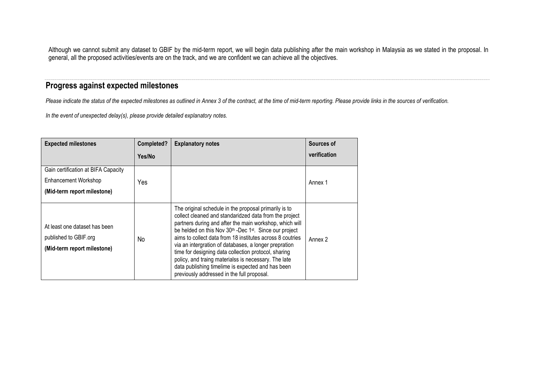Although we cannot submit any dataset to GBIF by the mid-term report, we will begin data publishing after the main workshop in Malaysia as we stated in the proposal. In general, all the proposed activities/events are on the track, and we are confident we can achieve all the objectives.

# <span id="page-2-0"></span>**Progress against expected milestones**

*Please indicate the status of the expected milestones as outlined in Annex 3 of the contract, at the time of mid-term reporting. Please provide links in the sources of verification.*

*In the event of unexpected delay(s), please provide detailed explanatory notes.*

| <b>Expected milestones</b>                                                                 | Completed? | <b>Explanatory notes</b>                                                                                                                                                                                                                                                                                                                                                                                                                                                                                                                                                                               | Sources of   |
|--------------------------------------------------------------------------------------------|------------|--------------------------------------------------------------------------------------------------------------------------------------------------------------------------------------------------------------------------------------------------------------------------------------------------------------------------------------------------------------------------------------------------------------------------------------------------------------------------------------------------------------------------------------------------------------------------------------------------------|--------------|
|                                                                                            | Yes/No     |                                                                                                                                                                                                                                                                                                                                                                                                                                                                                                                                                                                                        | verification |
| Gain certification at BIFA Capacity<br>Enhancement Workshop<br>(Mid-term report milestone) | Yes        |                                                                                                                                                                                                                                                                                                                                                                                                                                                                                                                                                                                                        | Annex 1      |
| At least one dataset has been<br>published to GBIF.org<br>(Mid-term report milestone)      | No         | The original schedule in the proposal primarily is to<br>collect cleaned and standaridzed data from the project<br>partners during and after the main workshop, which will<br>be helded on this Nov 30 <sup>th</sup> -Dec 1 <sup>st</sup> . Since our project<br>aims to collect data from 18 institutes across 8 coutries<br>via an intergration of databases, a longer prepration<br>time for designing data collection protocol, sharing<br>policy, and traing materialss is necessary. The late<br>data publishing timelime is expected and has been<br>previously addressed in the full proposal. | Annex 2      |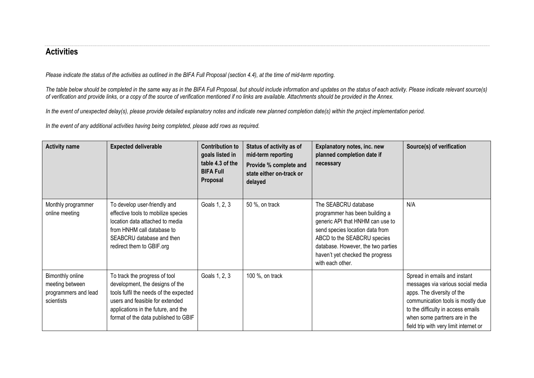### <span id="page-3-0"></span>**Activities**

*Please indicate the status of the activities as outlined in the BIFA Full Proposal (section 4.4), at the time of mid-term reporting.* 

The table below should be completed in the same way as in the BIFA Full Proposal, but should include information and updates on the status of each activity. Please indicate relevant source(s) *of verification and provide links, or a copy of the source of verification mentioned if no links are available. Attachments should be provided in the Annex.*

*In the event of unexpected delay(s), please provide detailed explanatory notes and indicate new planned completion date(s) within the project implementation period.*

*In the event of any additional activities having being completed, please add rows as required.*

| <b>Activity name</b>                                                      | <b>Expected deliverable</b>                                                                                                                                                                                                  | <b>Contribution to</b><br>goals listed in<br>table 4.3 of the<br><b>BIFA Full</b><br>Proposal | Status of activity as of<br>mid-term reporting<br>Provide % complete and<br>state either on-track or<br>delayed | Explanatory notes, inc. new<br>planned completion date if<br>necessary                                                                                                                                                                                     | Source(s) of verification                                                                                                                                                                                                                             |
|---------------------------------------------------------------------------|------------------------------------------------------------------------------------------------------------------------------------------------------------------------------------------------------------------------------|-----------------------------------------------------------------------------------------------|-----------------------------------------------------------------------------------------------------------------|------------------------------------------------------------------------------------------------------------------------------------------------------------------------------------------------------------------------------------------------------------|-------------------------------------------------------------------------------------------------------------------------------------------------------------------------------------------------------------------------------------------------------|
| Monthly programmer<br>online meeting                                      | To develop user-friendly and<br>effective tools to mobilize species<br>location data attached to media<br>from HNHM call database to<br>SEABCRU database and then<br>redirect them to GBIF.org                               | Goals 1, 2, 3                                                                                 | 50 %, on track                                                                                                  | The SEABCRU database<br>programmer has been building a<br>generic API that HNHM can use to<br>send species location data from<br>ABCD to the SEABCRU species<br>database. However, the two parties<br>haven't yet checked the progress<br>with each other. | N/A                                                                                                                                                                                                                                                   |
| Bimonthly online<br>meeting between<br>programmers and lead<br>scientists | To track the progress of tool<br>development, the designs of the<br>tools fulfil the needs of the expected<br>users and feasible for extended<br>applications in the future, and the<br>format of the data published to GBIF | Goals 1, 2, 3                                                                                 | 100 %, on track                                                                                                 |                                                                                                                                                                                                                                                            | Spread in emails and instant<br>messages via various social media<br>apps. The diversity of the<br>communication tools is mostly due<br>to the difficulty in access emails<br>when some partners are in the<br>field trip with very limit internet or |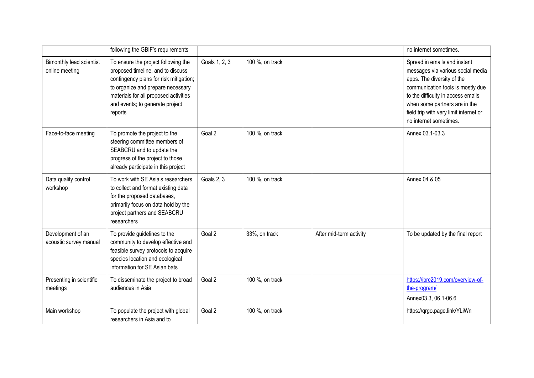|                                             | following the GBIF's requirements                                                                                                                                                                                                              |               |                 |                         | no internet sometimes.                                                                                                                                                                                                                                                          |
|---------------------------------------------|------------------------------------------------------------------------------------------------------------------------------------------------------------------------------------------------------------------------------------------------|---------------|-----------------|-------------------------|---------------------------------------------------------------------------------------------------------------------------------------------------------------------------------------------------------------------------------------------------------------------------------|
| Bimonthly lead scientist<br>online meeting  | To ensure the project following the<br>proposed timeline, and to discuss<br>contingency plans for risk mitigation;<br>to organize and prepare necessary<br>materials for all proposed activities<br>and events; to generate project<br>reports | Goals 1, 2, 3 | 100 %, on track |                         | Spread in emails and instant<br>messages via various social media<br>apps. The diversity of the<br>communication tools is mostly due<br>to the difficulty in access emails<br>when some partners are in the<br>field trip with very limit internet or<br>no internet sometimes. |
| Face-to-face meeting                        | To promote the project to the<br>steering committee members of<br>SEABCRU and to update the<br>progress of the project to those<br>already participate in this project                                                                         | Goal 2        | 100 %, on track |                         | Annex 03.1-03.3                                                                                                                                                                                                                                                                 |
| Data quality control<br>workshop            | To work with SE Asia's researchers<br>to collect and format existing data<br>for the proposed databases,<br>primarily focus on data hold by the<br>project partners and SEABCRU<br>researchers                                                 | Goals 2, 3    | 100 %, on track |                         | Annex 04 & 05                                                                                                                                                                                                                                                                   |
| Development of an<br>acoustic survey manual | To provide guidelines to the<br>community to develop effective and<br>feasible survey protocols to acquire<br>species location and ecological<br>information for SE Asian bats                                                                 | Goal 2        | 33%, on track   | After mid-term activity | To be updated by the final report                                                                                                                                                                                                                                               |
| Presenting in scientific<br>meetings        | To disseminate the project to broad<br>audiences in Asia                                                                                                                                                                                       | Goal 2        | 100 %, on track |                         | https://ibrc2019.com/overview-of-<br>the-program/<br>Annex03.3, 06.1-06.6                                                                                                                                                                                                       |
| Main workshop                               | To populate the project with global<br>researchers in Asia and to                                                                                                                                                                              | Goal 2        | 100 %, on track |                         | https://qrgo.page.link/YLiWn                                                                                                                                                                                                                                                    |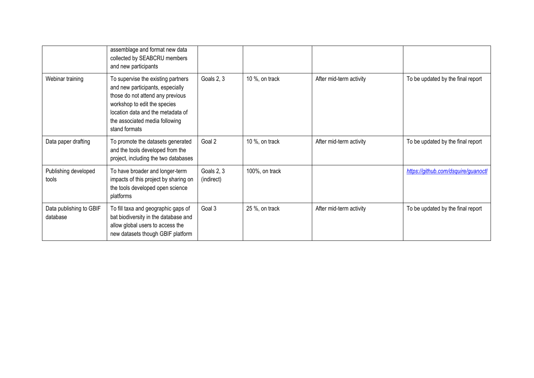|                                     | assemblage and format new data<br>collected by SEABCRU members<br>and new participants                                                                                                                                             |                          |                |                         |                                     |
|-------------------------------------|------------------------------------------------------------------------------------------------------------------------------------------------------------------------------------------------------------------------------------|--------------------------|----------------|-------------------------|-------------------------------------|
| Webinar training                    | To supervise the existing partners<br>and new participants, especially<br>those do not attend any previous<br>workshop to edit the species<br>location data and the metadata of<br>the associated media following<br>stand formats | Goals 2, 3               | 10 %, on track | After mid-term activity | To be updated by the final report   |
| Data paper drafting                 | To promote the datasets generated<br>and the tools developed from the<br>project, including the two databases                                                                                                                      | Goal 2                   | 10 %, on track | After mid-term activity | To be updated by the final report   |
| Publishing developed<br>tools       | To have broader and longer-term<br>impacts of this project by sharing on<br>the tools developed open science<br>platforms                                                                                                          | Goals 2, 3<br>(indirect) | 100%, on track |                         | https://github.com/dsquire/guanoctl |
| Data publishing to GBIF<br>database | To fill taxa and geographic gaps of<br>bat biodiversity in the database and<br>allow global users to access the<br>new datasets though GBIF platform                                                                               | Goal 3                   | 25 %, on track | After mid-term activity | To be updated by the final report   |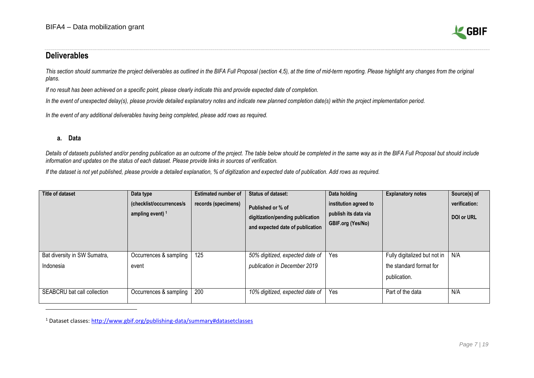

### <span id="page-6-0"></span>**Deliverables**

This section should summarize the project deliverables as outlined in the BIFA Full Proposal (section 4,5), at the time of mid-term reporting. Please highlight any changes from the original *plans.*

*If no result has been achieved on a specific point, please clearly indicate this and provide expected date of completion.* 

*In the event of unexpected delay(s), please provide detailed explanatory notes and indicate new planned completion date(s) within the project implementation period.*

*In the event of any additional deliverables having being completed, please add rows as required.*

#### **a. Data**

*Details of datasets published and/or pending publication as an outcome of the project. The table below should be completed in the same way as in the BIFA Full Proposal but should include information and updates on the status of each dataset. Please provide links in sources of verification.*

*If the dataset is not yet published, please provide a detailed explanation, % of digitization and expected date of publication. Add rows as required.*

| Title of dataset             | Data type<br>(checklist/occurrences/s)<br>ampling event) $1$ | <b>Estimated number of</b><br>records (specimens) | <b>Status of dataset:</b><br>Published or % of<br>digitization/pending publication<br>and expected date of publication | Data holding<br>institution agreed to<br>publish its data via<br><b>GBIF.org (Yes/No)</b> | <b>Explanatory notes</b>     | Source(s) of<br>verification:<br><b>DOI or URL</b> |
|------------------------------|--------------------------------------------------------------|---------------------------------------------------|------------------------------------------------------------------------------------------------------------------------|-------------------------------------------------------------------------------------------|------------------------------|----------------------------------------------------|
| Bat diversity in SW Sumatra, | Occurrences & sampling                                       | 125                                               | 50% digitized, expected date of                                                                                        | Yes                                                                                       | Fully digitalized but not in | N/A                                                |
| Indonesia                    | event                                                        |                                                   | publication in December 2019                                                                                           |                                                                                           | the standard format for      |                                                    |
|                              |                                                              |                                                   |                                                                                                                        |                                                                                           | publication.                 |                                                    |
| SEABCRU bat call collection  | Occurrences & sampling                                       | 200                                               | 10% digitized, expected date of                                                                                        | Yes                                                                                       | Part of the data             | N/A                                                |

<sup>1</sup> Dataset classes:<http://www.gbif.org/publishing-data/summary#datasetclasses>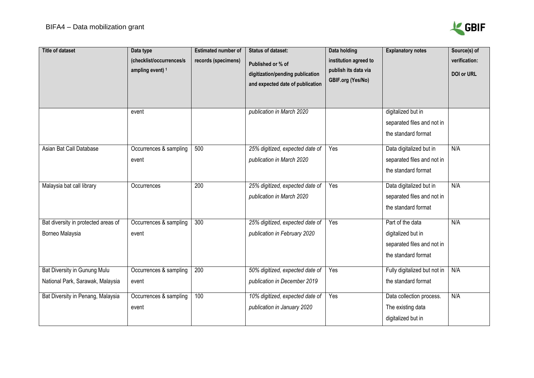

| <b>Title of dataset</b>                                                 | Data type<br>(checklist/occurrences/s<br>ampling event) <sup>1</sup> | <b>Estimated number of</b><br>records (specimens) | <b>Status of dataset:</b><br>Published or % of<br>digitization/pending publication<br>and expected date of publication | <b>Data holding</b><br>institution agreed to<br>publish its data via<br>GBIF.org (Yes/No) | <b>Explanatory notes</b>                                                                    | Source(s) of<br>verification:<br><b>DOI or URL</b> |
|-------------------------------------------------------------------------|----------------------------------------------------------------------|---------------------------------------------------|------------------------------------------------------------------------------------------------------------------------|-------------------------------------------------------------------------------------------|---------------------------------------------------------------------------------------------|----------------------------------------------------|
|                                                                         | event                                                                |                                                   | publication in March 2020                                                                                              |                                                                                           | digitalized but in<br>separated files and not in<br>the standard format                     |                                                    |
| Asian Bat Call Database                                                 | Occurrences & sampling<br>event                                      | 500                                               | 25% digitized, expected date of<br>publication in March 2020                                                           | Yes                                                                                       | Data digitalized but in<br>separated files and not in<br>the standard format                | N/A                                                |
| Malaysia bat call library                                               | Occurrences                                                          | 200                                               | 25% digitized, expected date of<br>publication in March 2020                                                           | Yes                                                                                       | Data digitalized but in<br>separated files and not in<br>the standard format                | N/A                                                |
| Bat diversity in protected areas of<br>Borneo Malaysia                  | Occurrences & sampling<br>event                                      | 300                                               | 25% digitized, expected date of<br>publication in February 2020                                                        | Yes                                                                                       | Part of the data<br>digitalized but in<br>separated files and not in<br>the standard format | N/A                                                |
| <b>Bat Diversity in Gunung Mulu</b><br>National Park, Sarawak, Malaysia | Occurrences & sampling<br>event                                      | 200                                               | 50% digitized, expected date of<br>publication in December 2019                                                        | Yes                                                                                       | Fully digitalized but not in<br>the standard format                                         | N/A                                                |
| Bat Diversity in Penang, Malaysia                                       | Occurrences & sampling<br>event                                      | 100                                               | 10% digitized, expected date of<br>publication in January 2020                                                         | Yes                                                                                       | Data collection process.<br>The existing data<br>digitalized but in                         | N/A                                                |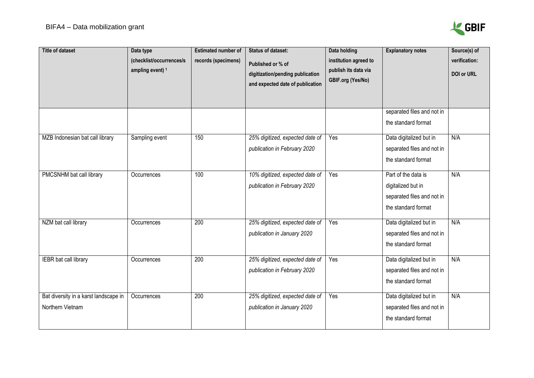

| <b>Title of dataset</b>                                   | Data type<br>(checklist/occurrences/s<br>ampling event) <sup>1</sup> | <b>Estimated number of</b><br>records (specimens) | <b>Status of dataset:</b><br>Published or % of<br>digitization/pending publication<br>and expected date of publication | Data holding<br>institution agreed to<br>publish its data via<br>GBIF.org (Yes/No) | <b>Explanatory notes</b><br>separated files and not in<br>the standard format                  | Source(s) of<br>verification:<br>DOI or URL |
|-----------------------------------------------------------|----------------------------------------------------------------------|---------------------------------------------------|------------------------------------------------------------------------------------------------------------------------|------------------------------------------------------------------------------------|------------------------------------------------------------------------------------------------|---------------------------------------------|
| MZB Indonesian bat call library                           | Sampling event                                                       | 150                                               | 25% digitized, expected date of<br>publication in February 2020                                                        | Yes                                                                                | Data digitalized but in<br>separated files and not in<br>the standard format                   | N/A                                         |
| PMCSNHM bat call library                                  | Occurrences                                                          | 100                                               | 10% digitized, expected date of<br>publication in February 2020                                                        | Yes                                                                                | Part of the data is<br>digitalized but in<br>separated files and not in<br>the standard format | N/A                                         |
| NZM bat call library                                      | Occurrences                                                          | 200                                               | 25% digitized, expected date of<br>publication in January 2020                                                         | Yes                                                                                | Data digitalized but in<br>separated files and not in<br>the standard format                   | N/A                                         |
| IEBR bat call library                                     | Occurrences                                                          | 200                                               | 25% digitized, expected date of<br>publication in February 2020                                                        | Yes                                                                                | Data digitalized but in<br>separated files and not in<br>the standard format                   | N/A                                         |
| Bat diversity in a karst landscape in<br>Northern Vietnam | Occurrences                                                          | $\overline{200}$                                  | 25% digitized, expected date of<br>publication in January 2020                                                         | Yes                                                                                | Data digitalized but in<br>separated files and not in<br>the standard format                   | N/A                                         |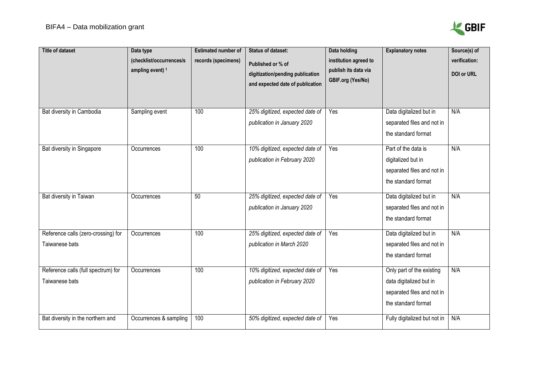

| <b>Title of dataset</b>                               | Data type<br>(checklist/occurrences/s<br>ampling event) <sup>1</sup> | <b>Estimated number of</b><br>records (specimens) | <b>Status of dataset:</b><br>Published or % of<br>digitization/pending publication<br>and expected date of publication | Data holding<br>institution agreed to<br>publish its data via<br>GBIF.org (Yes/No) | <b>Explanatory notes</b>                                                                                  | Source(s) of<br>verification:<br>DOI or URL |
|-------------------------------------------------------|----------------------------------------------------------------------|---------------------------------------------------|------------------------------------------------------------------------------------------------------------------------|------------------------------------------------------------------------------------|-----------------------------------------------------------------------------------------------------------|---------------------------------------------|
| Bat diversity in Cambodia                             | Sampling event                                                       | 100                                               | 25% digitized, expected date of<br>publication in January 2020                                                         | Yes                                                                                | Data digitalized but in<br>separated files and not in<br>the standard format                              | N/A                                         |
| Bat diversity in Singapore                            | Occurrences                                                          | 100                                               | 10% digitized, expected date of<br>publication in February 2020                                                        | Yes                                                                                | Part of the data is<br>digitalized but in<br>separated files and not in<br>the standard format            | N/A                                         |
| Bat diversity in Taiwan                               | Occurrences                                                          | 50                                                | 25% digitized, expected date of<br>publication in January 2020                                                         | Yes                                                                                | Data digitalized but in<br>separated files and not in<br>the standard format                              | N/A                                         |
| Reference calls (zero-crossing) for<br>Taiwanese bats | Occurrences                                                          | 100                                               | 25% digitized, expected date of<br>publication in March 2020                                                           | Yes                                                                                | Data digitalized but in<br>separated files and not in<br>the standard format                              | N/A                                         |
| Reference calls (full spectrum) for<br>Taiwanese bats | Occurrences                                                          | 100                                               | 10% digitized, expected date of<br>publication in February 2020                                                        | Yes                                                                                | Only part of the existing<br>data digitalized but in<br>separated files and not in<br>the standard format | N/A                                         |
| Bat diversity in the northern and                     | Occurrences & sampling                                               | 100                                               | 50% digitized, expected date of                                                                                        | Yes                                                                                | Fully digitalized but not in                                                                              | N/A                                         |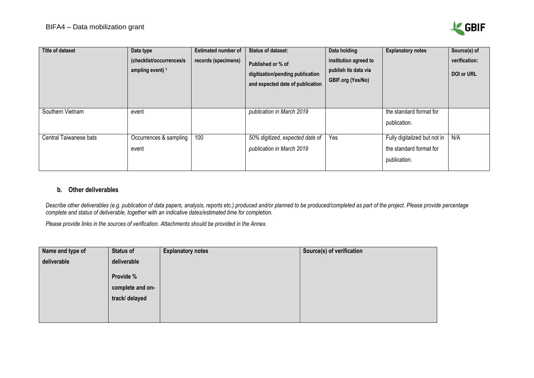

| <b>Title of dataset</b> | Data type<br>(checklist/occurrences/s<br>ampling event) $1$ | <b>Estimated number of</b><br>records (specimens) | <b>Status of dataset:</b><br>Published or % of<br>digitization/pending publication<br>and expected date of publication | Data holding<br>institution agreed to<br>publish its data via<br><b>GBIF.org (Yes/No)</b> | <b>Explanatory notes</b>                                                | Source(s) of<br>verification:<br>DOI or URL |
|-------------------------|-------------------------------------------------------------|---------------------------------------------------|------------------------------------------------------------------------------------------------------------------------|-------------------------------------------------------------------------------------------|-------------------------------------------------------------------------|---------------------------------------------|
| Southern Vietnam        | event                                                       |                                                   | publication in March 2019                                                                                              |                                                                                           | the standard format for<br>publication.                                 |                                             |
| Central Taiwanese bats  | Occurrences & sampling<br>event                             | 100                                               | 50% digitized, expected date of<br>publication in March 2019                                                           | Yes                                                                                       | Fully digitalized but not in<br>the standard format for<br>publication. | N/A                                         |

#### **b. Other deliverables**

Describe other deliverables (e.g. publication of [data papers,](https://www.gbif.org/data-papers) analysis, reports etc.) produced and/or planned to be produced/completed as part of the project. Please provide percentage *complete and status of deliverable, together with an indicative dates/estimated time for completion.*

*Please provide links in the sources of verification. Attachments should be provided in the Annex.*

| Name and type of | Status of        | <b>Explanatory notes</b> | Source(s) of verification |
|------------------|------------------|--------------------------|---------------------------|
| deliverable      | deliverable      |                          |                           |
|                  | Provide %        |                          |                           |
|                  | complete and on- |                          |                           |
|                  | track/ delayed   |                          |                           |
|                  |                  |                          |                           |
|                  |                  |                          |                           |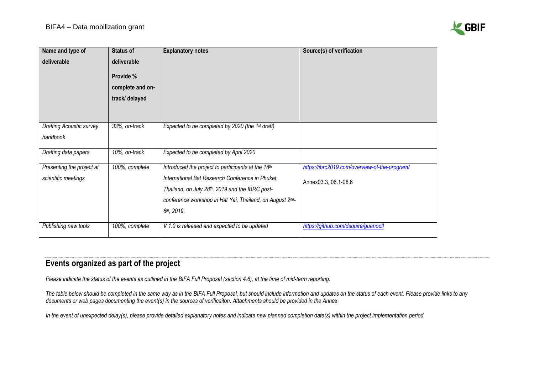

| Name and type of          | <b>Status of</b> | <b>Explanatory notes</b>                                     | Source(s) of verification                     |
|---------------------------|------------------|--------------------------------------------------------------|-----------------------------------------------|
| deliverable               | deliverable      |                                                              |                                               |
|                           | Provide %        |                                                              |                                               |
|                           | complete and on- |                                                              |                                               |
|                           | track/ delayed   |                                                              |                                               |
|                           |                  |                                                              |                                               |
|                           |                  |                                                              |                                               |
| Drafting Acoustic survey  | 33%, on-track    | Expected to be completed by 2020 (the 1 <sup>st</sup> draft) |                                               |
| handbook                  |                  |                                                              |                                               |
| Drafting data papers      | 10%, on-track    | Expected to be completed by April 2020                       |                                               |
| Presenting the project at | 100%, complete   | Introduced the project to participants at the 18th           | https://ibrc2019.com/overview-of-the-program/ |
| scientific meetings       |                  | International Bat Research Conference in Phuket,             | Annex03.3, 06.1-06.6                          |
|                           |                  | Thailand, on July 28th, 2019 and the IBRC post-              |                                               |
|                           |                  | conference workshop in Hat Yai, Thailand, on August 2nd-     |                                               |
|                           |                  | 6th, 2019.                                                   |                                               |
| Publishing new tools      | 100%, complete   | V 1.0 is released and expected to be updated                 | https://github.com/dsquire/guanoctl           |

# <span id="page-11-0"></span>**Events organized as part of the project**

*Please indicate the status of the events as outlined in the BIFA Full Proposal (section 4.6), at the time of mid-term reporting.* 

*The table below should be completed in the same way as in the BIFA Full Proposal, but should include information and updates on the status of each event. Please provide links to any documents or web pages documenting the event(s) in the sources of verificaiton. Attachments should be provided in the Annex*

*In the event of unexpected delay(s), please provide detailed explanatory notes and indicate new planned completion date(s) within the project implementation period.*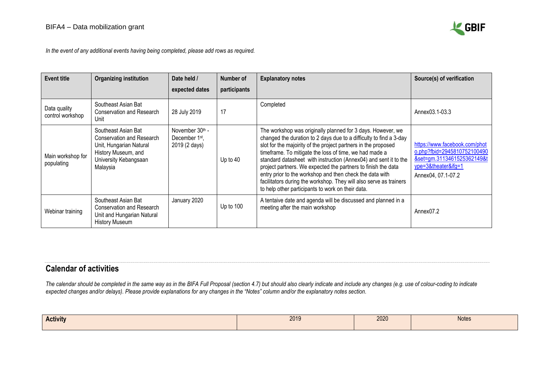

*In the event of any additional events having being completed, please add rows as required.*

| <b>Event title</b>               | <b>Organizing institution</b>                                                                                                           | Date held /                                                    | Number of    | <b>Explanatory notes</b>                                                                                                                                                                                                                                                                                                                                                                                                                                                                                                                                                                  | Source(s) of verification                                                                                                               |
|----------------------------------|-----------------------------------------------------------------------------------------------------------------------------------------|----------------------------------------------------------------|--------------|-------------------------------------------------------------------------------------------------------------------------------------------------------------------------------------------------------------------------------------------------------------------------------------------------------------------------------------------------------------------------------------------------------------------------------------------------------------------------------------------------------------------------------------------------------------------------------------------|-----------------------------------------------------------------------------------------------------------------------------------------|
|                                  |                                                                                                                                         | expected dates                                                 | participants |                                                                                                                                                                                                                                                                                                                                                                                                                                                                                                                                                                                           |                                                                                                                                         |
| Data quality<br>control workshop | Southeast Asian Bat<br>Conservation and Research<br>Unit                                                                                | 28 July 2019                                                   | 17           | Completed                                                                                                                                                                                                                                                                                                                                                                                                                                                                                                                                                                                 | Annex03.1-03.3                                                                                                                          |
| Main workshop for<br>populating  | Southeast Asian Bat<br>Conservation and Research<br>Unit, Hungarian Natural<br>History Museum, and<br>University Kebangsaan<br>Malaysia | November 30th -<br>December 1 <sup>st</sup> ,<br>2019 (2 days) | Up to $40$   | The workshop was originally planned for 3 days. However, we<br>changed the duration to 2 days due to a difficulty to find a 3-day<br>slot for the majoirity of the project partners in the proposed<br>timeframe. To mitigate the loss of time, we had made a<br>standard datasheet with instruction (Annex04) and sent it to the<br>project partners. We expected the partners to finish the data<br>entry prior to the workshop and then check the data with<br>facilitators during the workshop. They will also serve as trainers<br>to help other participants to work on their data. | https://www.facebook.com/phot<br>o.php?fbid=2945810752100490<br>&set=gm.3113461525362149&t<br>ype=3&theater&ifg=1<br>Annex04, 07.1-07.2 |
| Webinar training                 | Southeast Asian Bat<br>Conservation and Research<br>Unit and Hungarian Natural<br><b>History Museum</b>                                 | January 2020                                                   | Up to $100$  | A tentaive date and agenda will be discussed and planned in a<br>meeting after the main workshop                                                                                                                                                                                                                                                                                                                                                                                                                                                                                          | Annex <sub>07.2</sub>                                                                                                                   |

## <span id="page-12-0"></span>**Calendar of activities**

The calendar should be completed in the same way as in the BIFA Full Proposal (section 4.7) but should also clearly indicate and include any changes (e.g. use of colour-coding to indicate *expected changes and/or delays). Please provide explanations for any changes in the "Notes" column and/or the explanatory notes section.* 

| <b>Activity</b> | 2019 | 2020 | <b>Notes</b> |
|-----------------|------|------|--------------|
|                 |      |      |              |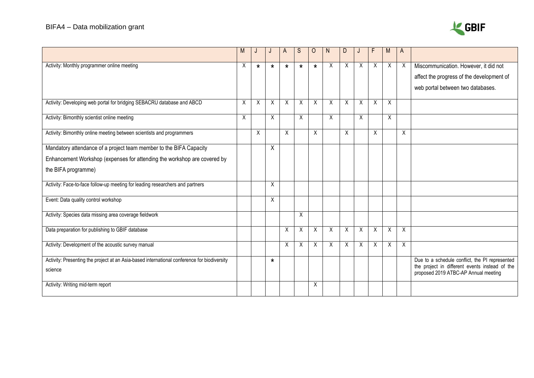# BIFA4 – Data mobilization grant



|                                                                                                        |         |              |         | A       | S       | $\Omega$ | N. | D |   | F | M        | A        |                                                                                                                                          |
|--------------------------------------------------------------------------------------------------------|---------|--------------|---------|---------|---------|----------|----|---|---|---|----------|----------|------------------------------------------------------------------------------------------------------------------------------------------|
| Activity: Monthly programmer online meeting                                                            | X       | $\star$      | $\star$ | $\star$ | $\star$ | $\star$  | X  | X | X | X | $\times$ | X        | Miscommunication. However, it did not<br>affect the progress of the development of<br>web portal between two databases.                  |
| Activity: Developing web portal for bridging SEBACRU database and ABCD                                 | $\sf X$ | $\mathsf{X}$ | X       | X       | X       | X        | X  | X | X | X | X        |          |                                                                                                                                          |
| Activity: Bimonthly scientist online meeting                                                           | X       |              | X       |         | X       |          | X  |   | X |   | Χ        |          |                                                                                                                                          |
| Activity: Bimonthly online meeting between scientists and programmers                                  |         | $\sf X$      |         | X       |         | X        |    | X |   | X |          | X        |                                                                                                                                          |
| Mandatory attendance of a project team member to the BIFA Capacity                                     |         |              | X       |         |         |          |    |   |   |   |          |          |                                                                                                                                          |
| Enhancement Workshop (expenses for attending the workshop are covered by                               |         |              |         |         |         |          |    |   |   |   |          |          |                                                                                                                                          |
| the BIFA programme)                                                                                    |         |              |         |         |         |          |    |   |   |   |          |          |                                                                                                                                          |
| Activity: Face-to-face follow-up meeting for leading researchers and partners                          |         |              | X       |         |         |          |    |   |   |   |          |          |                                                                                                                                          |
| Event: Data quality control workshop                                                                   |         |              | X       |         |         |          |    |   |   |   |          |          |                                                                                                                                          |
| Activity: Species data missing area coverage fieldwork                                                 |         |              |         |         | X       |          |    |   |   |   |          |          |                                                                                                                                          |
| Data preparation for publishing to GBIF database                                                       |         |              |         | X       | X       | X        | Χ  | Χ | X | X | X        | X        |                                                                                                                                          |
| Activity: Development of the acoustic survey manual                                                    |         |              |         | X       | X       | X        | X  | X | X | X | $\times$ | $\times$ |                                                                                                                                          |
| Activity: Presenting the project at an Asia-based international conference for biodiversity<br>science |         |              | $\star$ |         |         |          |    |   |   |   |          |          | Due to a schedule conflict, the PI represented<br>the project in different events instead of the<br>proposed 2019 ATBC-AP Annual meeting |
| Activity: Writing mid-term report                                                                      |         |              |         |         |         | Χ        |    |   |   |   |          |          |                                                                                                                                          |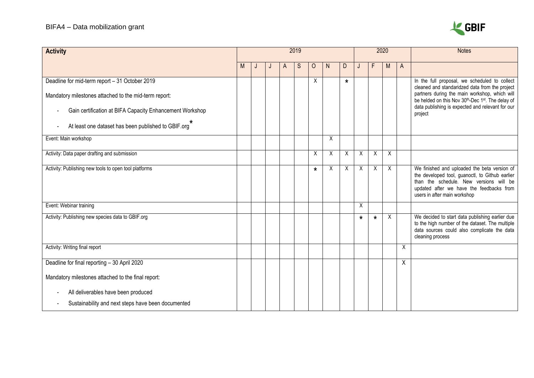

| <b>Activity</b>                                                      | 2019 |  |  |   |   |         |   | 2020    |         |                |   | <b>Notes</b> |                                                                                                                                                                                                                        |
|----------------------------------------------------------------------|------|--|--|---|---|---------|---|---------|---------|----------------|---|--------------|------------------------------------------------------------------------------------------------------------------------------------------------------------------------------------------------------------------------|
|                                                                      | M    |  |  | A | S | $\circ$ | N | D       |         | F              | M | A            |                                                                                                                                                                                                                        |
| Deadline for mid-term report - 31 October 2019                       |      |  |  |   |   | X       |   | $\star$ |         |                |   |              | In the full proposal, we scheduled to collect<br>cleaned and standaridzed data from the project                                                                                                                        |
| Mandatory milestones attached to the mid-term report:                |      |  |  |   |   |         |   |         |         |                |   |              | partners during the main workshop, which will<br>be helded on this Nov 30th-Dec 1st. The delay of                                                                                                                      |
| Gain certification at BIFA Capacity Enhancement Workshop             |      |  |  |   |   |         |   |         |         |                |   |              | data publishing is expected and relevant for our<br>project                                                                                                                                                            |
| At least one dataset has been published to GBIF.org*                 |      |  |  |   |   |         |   |         |         |                |   |              |                                                                                                                                                                                                                        |
| Event: Main workshop                                                 |      |  |  |   |   |         | Χ |         |         |                |   |              |                                                                                                                                                                                                                        |
| Activity: Data paper drafting and submission                         |      |  |  |   |   | X       | X | X       | X       | X              | X |              |                                                                                                                                                                                                                        |
| Activity: Publishing new tools to open tool platforms                |      |  |  |   |   | $\star$ | X | X       | X       | $\overline{X}$ | X |              | We finished and uploaded the beta version of<br>the developed tool, guanoctl, to Github earlier<br>than the schedule. New versions will be<br>updated after we have the feedbacks from<br>users in after main workshop |
| Event: Webinar training                                              |      |  |  |   |   |         |   |         | X       |                |   |              |                                                                                                                                                                                                                        |
| Activity: Publishing new species data to GBIF.org                    |      |  |  |   |   |         |   |         | $\star$ | $\star$        | X |              | We decided to start data publishing earlier due<br>to the high number of the dataset. The multiple<br>data sources could also complicate the data<br>cleaning process                                                  |
| Activity: Writing final report                                       |      |  |  |   |   |         |   |         |         |                |   | X            |                                                                                                                                                                                                                        |
| Deadline for final reporting - 30 April 2020                         |      |  |  |   |   |         |   |         |         |                |   | Χ            |                                                                                                                                                                                                                        |
| Mandatory milestones attached to the final report:                   |      |  |  |   |   |         |   |         |         |                |   |              |                                                                                                                                                                                                                        |
| All deliverables have been produced                                  |      |  |  |   |   |         |   |         |         |                |   |              |                                                                                                                                                                                                                        |
| Sustainability and next steps have been documented<br>$\blacksquare$ |      |  |  |   |   |         |   |         |         |                |   |              |                                                                                                                                                                                                                        |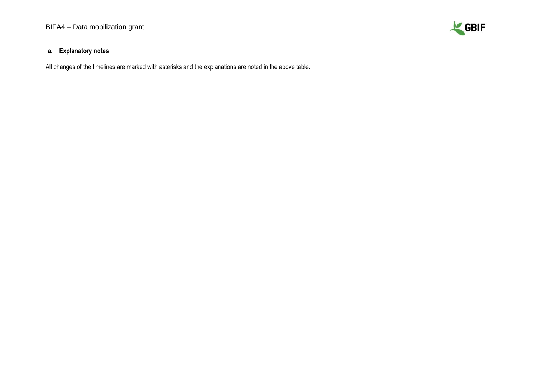

#### **a. Explanatory notes**

All changes of the timelines are marked with asterisks and the explanations are noted in the above table.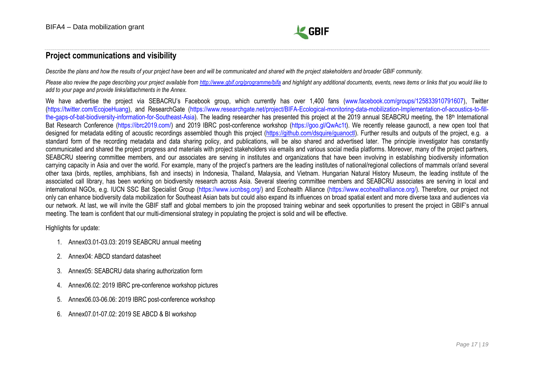

### <span id="page-16-0"></span>**Project communications and visibility**

Describe the plans and how the results of your project have been and will be communicated and shared with the project stakeholders and broader GBIF community.

*Please also review the page describing your project available from <http://www.gbif.org/programme/bifa> and highlight any additional documents, events, news items or links that you would like to add to your page and provide links/attachments in the Annex.*

We have advertise the project via SEBACRU's Facebook group, which currently has over 1,400 fans [\(www.facebook.com/groups/125833910791607\)](http://www.facebook.com/groups/125833910791607/?epa=SEARCH_BOX), Twitter [\(https://twitter.com/EcojoeHuang\)](https://twitter.com/EcojoeHuang/status/1144235370856366081/photo/1), and ResearchGate [\(https://www.researchgate.net/project/BIFA-Ecological-monitoring-data-mobilization-Implementation-of-acoustics-to-fill](https://www.researchgate.net/project/BIFA-Ecological-monitoring-data-mobilization-Implementation-of-acoustics-to-fill-the-gaps-of-bat-biodiversity-information-for-Southeast-Asia)[the-gaps-of-bat-biodiversity-information-for-Southeast-Asia\)](https://www.researchgate.net/project/BIFA-Ecological-monitoring-data-mobilization-Implementation-of-acoustics-to-fill-the-gaps-of-bat-biodiversity-information-for-Southeast-Asia). The leading researcher has presented this project at the 2019 annual SEABCRU meeting, the 18<sup>th</sup> International Bat Research Conference [\(https://ibrc2019.com/\)](https://ibrc2019.com/) and 2019 IBRC post-conference workshop [\(https://goo.gl/QwAc1t\)](https://goo.gl/QwAc1t?fbclid=IwAR3YsYThXLBkj0x3-S5e79teQ_cKxoGSoC1vu9xhfJBE66QISJLN1tNzcN8). We recently release gaunoctl, a new open tool that designed for metadata editing of acoustic recordings assembled though this project (https://github.com/dsquire/guanoct). Further results and outputs of the project, e.g. a standard form of the recording metadata and data sharing policy, and publications, will be also shared and advertised later. The principle investigator has constantly communicated and shared the project progress and materials with project stakeholders via emails and various social media platforms. Moreover, many of the project partners, SEABCRU steering committee members, and our associates are serving in institutes and organizations that have been involving in establishing biodiversity information carrying capacity in Asia and over the world. For example, many of the project's partners are the leading institutes of national/regional collections of mammals or/and several other taxa (birds, reptiles, amphibians, fish and insects) in Indonesia, Thailand, Malaysia, and Vietnam. Hungarian Natural History Museum, the leading institute of the associated call library, has been working on biodiversity research across Asia. Several steering committee members and SEABCRU associates are serving in local and international NGOs, e.g. IUCN SSC Bat Specialist Group [\(https://www.iucnbsg.org/\)](https://www.iucnbsg.org/) and Ecohealth Alliance [\(https://www.ecohealthalliance.org/\)](https://www.ecohealthalliance.org/). Therefore, our project not only can enhance biodiversity data mobilization for Southeast Asian bats but could also expand its influences on broad spatial extent and more diverse taxa and audiences via our network. At last, we will invite the GBIF staff and global members to join the proposed training webinar and seek opportunities to present the project in GBIF's annual meeting. The team is confident that our multi-dimensional strategy in populating the project is solid and will be effective.

Highlights for update:

- 1. Annex03.01-03.03: 2019 SEABCRU annual meeting
- 2. Annex04: ABCD standard datasheet
- 3. Annex05: SEABCRU data sharing authorization form
- 4. Annex06.02: 2019 IBRC pre-conference workshop pictures
- 5. Annex06.03-06.06: 2019 IBRC post-conference workshop
- 6. Annex07.01-07.02: 2019 SE ABCD & BI workshop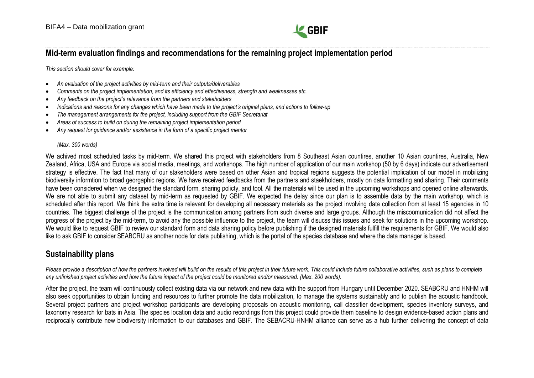

## <span id="page-17-0"></span>**Mid-term evaluation findings and recommendations for the remaining project implementation period**

*This section should cover for example:*

- *An evaluation of the project activities by mid-term and their outputs/deliverables*
- *Comments on the project implementation, and its efficiency and effectiveness, strength and weaknesses etc.*
- *Any feedback on the project's relevance from the partners and stakeholders*
- *Indications and reasons for any changes which have been made to the project's original plans, and actions to follow-up*
- *The management arrangements for the project, including support from the GBIF Secretariat*
- *Areas of success to build on during the remaining project implementation period*
- *Any request for guidance and/or assistance in the form of a specific project mentor*

#### *(Max. 300 words)*

We achived most scheduled tasks by mid-term. We shared this project with stakeholders from 8 Southeast Asian countires, another 10 Asian countires, Australia, New Zealand, Africa, USA and Europe via social media, meetings, and workshops. The high number of application of our main workshop (50 by 6 days) indicate our advertisement strategy is effective. The fact that many of our stakeholders were based on other Asian and tropical regions suggests the potential implication of our model in mobilizing biodiversity informtion to broad georgaphic regions. We have received feedbacks from the partners and staekholders, mostly on data formatting and sharing. Their comments have been considered when we designed the standard form, sharing policty, and tool. All the materials will be used in the upcoming workshops and opened online afterwards. We are not able to submit any dataset by mid-term as requested by GBIF. We expected the delay since our plan is to assemble data by the main workshop, which is scheduled after this report. We think the extra time is relevant for developing all necessary materials as the project involving data collection from at least 15 agencies in 10 countries. The biggest challenge of the project is the communication among partners from such diverse and large groups. Although the miscoomunication did not affect the progress of the project by the mid-term, to avoid any the possible influence to the project, the team will disucss this issues and seek for solutions in the upcoming workshop. We would like to request GBIF to review our standard form and data sharing policy before publishing if the designed materials fulfill the requirements for GBIF. We would also like to ask GBIF to consider SEABCRU as another node for data publishing, which is the portal of the species database and where the data manager is based.

## <span id="page-17-1"></span>**Sustainability plans**

*Please provide a description of how the partners involved will build on the results of this project in their future work. This could include future collaborative activities, such as plans to complete any unfinished project activities and how the future impact of the project could be monitored and/or measured. (Max. 200 words).*

After the project, the team will continuously collect existing data via our network and new data with the support from Hungary until December 2020. SEABCRU and HNHM will also seek opportunities to obtain funding and resources to further promote the data mobilization, to manage the systems sustainably and to publish the acoustic handbook. Several project partners and project workshop participants are developing proposals on acoustic monitoring, call classifier development, species inventory surveys, and taxonomy research for bats in Asia. The species location data and audio recordings from this project could provide them baseline to design evidence-based action plans and reciprocally contribute new biodiversity information to our databases and GBIF. The SEBACRU-HNHM alliance can serve as a hub further delivering the concept of data